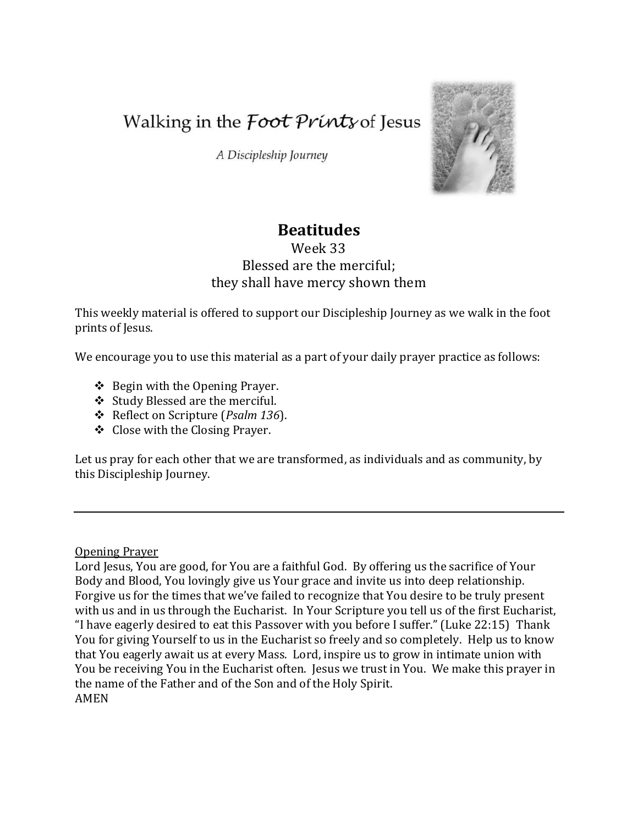Walking in the *Foot Prints* of Jesus

A Discipleship Journey



## **Beatitudes**

## Week 33 Blessed are the merciful; they shall have mercy shown them

This weekly material is offered to support our Discipleship Journey as we walk in the foot prints of Jesus.

We encourage you to use this material as a part of your daily prayer practice as follows:

- $\triangleleft$  Begin with the Opening Prayer.
- Study Blessed are the merciful.
- Reflect on Scripture (*Psalm 136*).
- Close with the Closing Prayer.

Let us pray for each other that we are transformed, as individuals and as community, by this Discipleship Journey.

Opening Prayer

Lord Jesus, You are good, for You are a faithful God. By offering us the sacrifice of Your Body and Blood, You lovingly give us Your grace and invite us into deep relationship. Forgive us for the times that we've failed to recognize that You desire to be truly present with us and in us through the Eucharist. In Your Scripture you tell us of the first Eucharist, "I have eagerly desired to eat this Passover with you before I suffer." (Luke 22:15) Thank You for giving Yourself to us in the Eucharist so freely and so completely. Help us to know that You eagerly await us at every Mass. Lord, inspire us to grow in intimate union with You be receiving You in the Eucharist often. Jesus we trust in You. We make this prayer in the name of the Father and of the Son and of the Holy Spirit. AMEN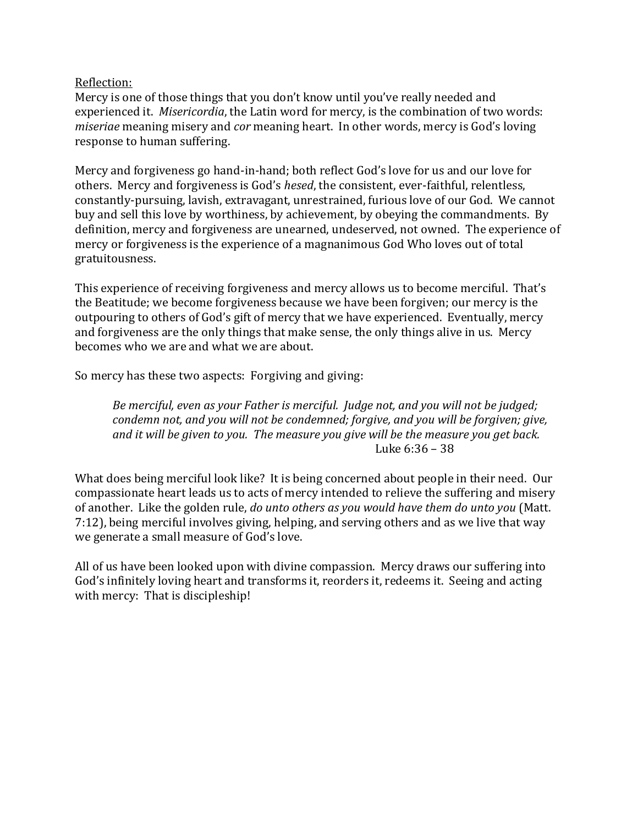## Reflection:

Mercy is one of those things that you don't know until you've really needed and experienced it. *Misericordia*, the Latin word for mercy, is the combination of two words: *miseriae* meaning misery and *cor* meaning heart. In other words, mercy is God's loving response to human suffering.

Mercy and forgiveness go hand-in-hand; both reflect God's love for us and our love for others. Mercy and forgiveness is God's *hesed*, the consistent, ever-faithful, relentless, constantly-pursuing, lavish, extravagant, unrestrained, furious love of our God. We cannot buy and sell this love by worthiness, by achievement, by obeying the commandments. By definition, mercy and forgiveness are unearned, undeserved, not owned. The experience of mercy or forgiveness is the experience of a magnanimous God Who loves out of total gratuitousness.

This experience of receiving forgiveness and mercy allows us to become merciful. That's the Beatitude; we become forgiveness because we have been forgiven; our mercy is the outpouring to others of God's gift of mercy that we have experienced. Eventually, mercy and forgiveness are the only things that make sense, the only things alive in us. Mercy becomes who we are and what we are about.

So mercy has these two aspects: Forgiving and giving:

*Be merciful, even as your Father is merciful. Judge not, and you will not be judged; condemn not, and you will not be condemned; forgive, and you will be forgiven; give, and it will be given to you. The measure you give will be the measure you get back.* Luke 6:36 – 38

What does being merciful look like? It is being concerned about people in their need. Our compassionate heart leads us to acts of mercy intended to relieve the suffering and misery of another. Like the golden rule, *do unto others as you would have them do unto you* (Matt. 7:12), being merciful involves giving, helping, and serving others and as we live that way we generate a small measure of God's love.

All of us have been looked upon with divine compassion. Mercy draws our suffering into God's infinitely loving heart and transforms it, reorders it, redeems it. Seeing and acting with mercy: That is discipleship!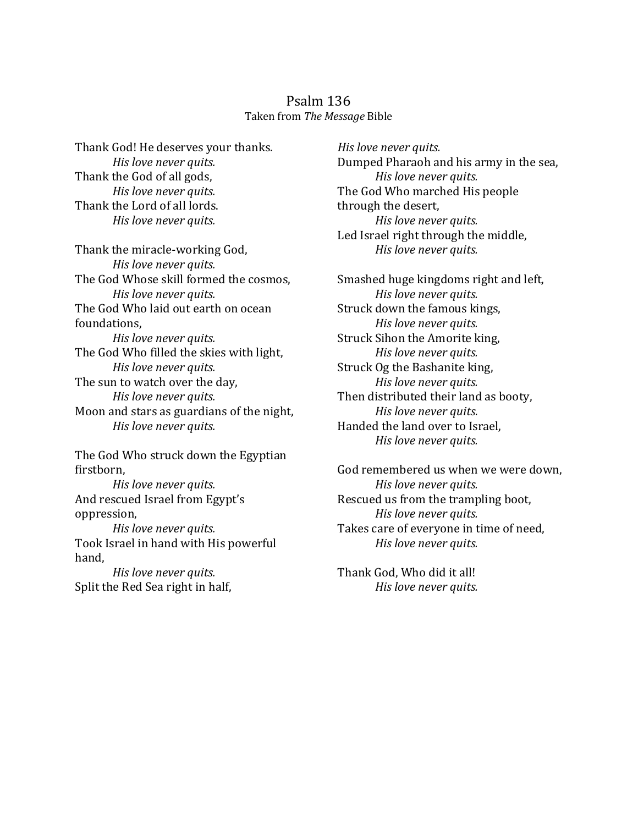## Psalm 136 Taken from *The Message* Bible

Thank God! He deserves your thanks. *His love never quits.* Thank the God of all gods, *His love never quits.* Thank the Lord of all lords. *His love never quits.*

Thank the miracle-working God, *His love never quits.* The God Whose skill formed the cosmos, *His love never quits.* The God Who laid out earth on ocean foundations, *His love never quits.* The God Who filled the skies with light, *His love never quits.* The sun to watch over the day, *His love never quits.* Moon and stars as guardians of the night, *His love never quits.*

The God Who struck down the Egyptian firstborn, *His love never quits.* And rescued Israel from Egypt's oppression, *His love never quits.* Took Israel in hand with His powerful hand,

*His love never quits.* Split the Red Sea right in half, *His love never quits.* Dumped Pharaoh and his army in the sea, *His love never quits.* The God Who marched His people through the desert, *His love never quits.* Led Israel right through the middle, *His love never quits.*

Smashed huge kingdoms right and left, *His love never quits.* Struck down the famous kings, *His love never quits.* Struck Sihon the Amorite king, *His love never quits.* Struck Og the Bashanite king, *His love never quits.* Then distributed their land as booty, *His love never quits.* Handed the land over to Israel, *His love never quits.*

God remembered us when we were down, *His love never quits.* Rescued us from the trampling boot, *His love never quits.* Takes care of everyone in time of need, *His love never quits.*

Thank God, Who did it all! *His love never quits.*